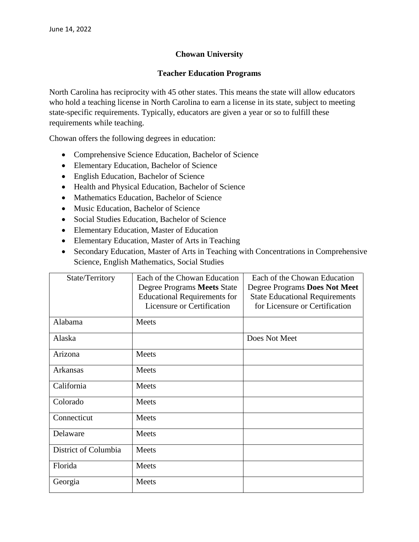## **Chowan University**

## **Teacher Education Programs**

North Carolina has reciprocity with 45 other states. This means the state will allow educators who hold a teaching license in North Carolina to earn a license in its state, subject to meeting state-specific requirements. Typically, educators are given a year or so to fulfill these requirements while teaching.

Chowan offers the following degrees in education:

- Comprehensive Science Education, Bachelor of Science
- Elementary Education, Bachelor of Science
- English Education, Bachelor of Science
- Health and Physical Education, Bachelor of Science
- Mathematics Education, Bachelor of Science
- Music Education, Bachelor of Science
- Social Studies Education, Bachelor of Science
- Elementary Education, Master of Education
- Elementary Education, Master of Arts in Teaching
- Secondary Education, Master of Arts in Teaching with Concentrations in Comprehensive Science, English Mathematics, Social Studies

| State/Territory      | Each of the Chowan Education<br>Degree Programs Meets State<br><b>Educational Requirements for</b><br>Licensure or Certification | Each of the Chowan Education<br>Degree Programs Does Not Meet<br><b>State Educational Requirements</b><br>for Licensure or Certification |
|----------------------|----------------------------------------------------------------------------------------------------------------------------------|------------------------------------------------------------------------------------------------------------------------------------------|
| Alabama              | Meets                                                                                                                            |                                                                                                                                          |
| Alaska               |                                                                                                                                  | Does Not Meet                                                                                                                            |
| Arizona              | Meets                                                                                                                            |                                                                                                                                          |
| Arkansas             | Meets                                                                                                                            |                                                                                                                                          |
| California           | Meets                                                                                                                            |                                                                                                                                          |
| Colorado             | Meets                                                                                                                            |                                                                                                                                          |
| Connecticut          | Meets                                                                                                                            |                                                                                                                                          |
| Delaware             | Meets                                                                                                                            |                                                                                                                                          |
| District of Columbia | Meets                                                                                                                            |                                                                                                                                          |
| Florida              | Meets                                                                                                                            |                                                                                                                                          |
| Georgia              | Meets                                                                                                                            |                                                                                                                                          |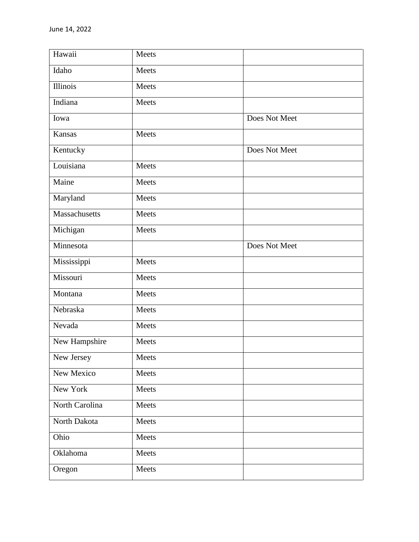| Hawaii         | Meets |               |
|----------------|-------|---------------|
| Idaho          | Meets |               |
| Illinois       | Meets |               |
| Indiana        | Meets |               |
| Iowa           |       | Does Not Meet |
| Kansas         | Meets |               |
| Kentucky       |       | Does Not Meet |
| Louisiana      | Meets |               |
| Maine          | Meets |               |
| Maryland       | Meets |               |
| Massachusetts  | Meets |               |
| Michigan       | Meets |               |
| Minnesota      |       | Does Not Meet |
| Mississippi    | Meets |               |
| Missouri       | Meets |               |
| Montana        | Meets |               |
| Nebraska       | Meets |               |
| Nevada         | Meets |               |
| New Hampshire  | Meets |               |
| New Jersey     | Meets |               |
| New Mexico     | Meets |               |
| New York       | Meets |               |
| North Carolina | Meets |               |
| North Dakota   | Meets |               |
| Ohio           | Meets |               |
| Oklahoma       | Meets |               |
| Oregon         | Meets |               |